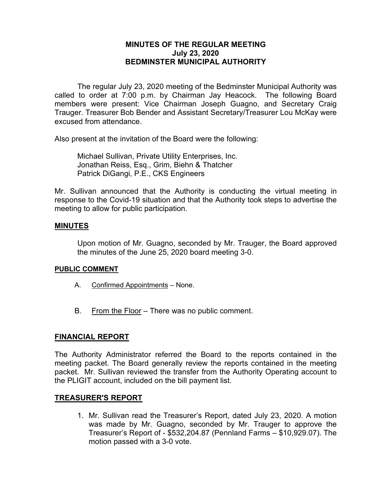## **MINUTES OF THE REGULAR MEETING July 23, 2020 BEDMINSTER MUNICIPAL AUTHORITY**

The regular July 23, 2020 meeting of the Bedminster Municipal Authority was called to order at 7:00 p.m. by Chairman Jay Heacock. The following Board members were present: Vice Chairman Joseph Guagno, and Secretary Craig Trauger. Treasurer Bob Bender and Assistant Secretary/Treasurer Lou McKay were excused from attendance.

Also present at the invitation of the Board were the following:

Michael Sullivan, Private Utility Enterprises, Inc. Jonathan Reiss, Esq., Grim, Biehn & Thatcher Patrick DiGangi, P.E., CKS Engineers

Mr. Sullivan announced that the Authority is conducting the virtual meeting in response to the Covid-19 situation and that the Authority took steps to advertise the meeting to allow for public participation.

#### **MINUTES**

Upon motion of Mr. Guagno, seconded by Mr. Trauger, the Board approved the minutes of the June 25, 2020 board meeting 3-0.

#### **PUBLIC COMMENT**

- A. Confirmed Appointments None.
- B. From the Floor There was no public comment.

## **FINANCIAL REPORT**

The Authority Administrator referred the Board to the reports contained in the meeting packet. The Board generally review the reports contained in the meeting packet. Mr. Sullivan reviewed the transfer from the Authority Operating account to the PLIGIT account, included on the bill payment list.

#### **TREASURER'S REPORT**

1. Mr. Sullivan read the Treasurer's Report, dated July 23, 2020. A motion was made by Mr. Guagno, seconded by Mr. Trauger to approve the Treasurer's Report of - \$532,204.87 (Pennland Farms – \$10,929.07). The motion passed with a 3-0 vote.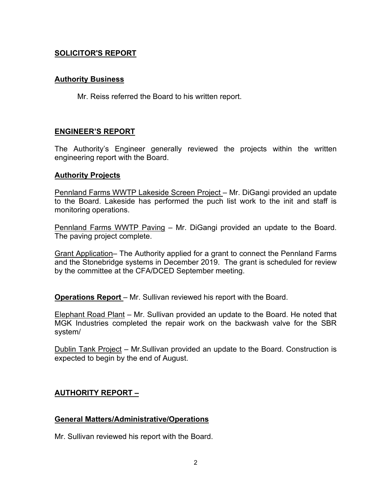# **SOLICITOR'S REPORT**

## **Authority Business**

Mr. Reiss referred the Board to his written report.

# **ENGINEER'S REPORT**

The Authority's Engineer generally reviewed the projects within the written engineering report with the Board.

## **Authority Projects**

Pennland Farms WWTP Lakeside Screen Project – Mr. DiGangi provided an update to the Board. Lakeside has performed the puch list work to the init and staff is monitoring operations.

Pennland Farms WWTP Paving – Mr. DiGangi provided an update to the Board. The paving project complete.

Grant Application– The Authority applied for a grant to connect the Pennland Farms and the Stonebridge systems in December 2019. The grant is scheduled for review by the committee at the CFA/DCED September meeting.

**Operations Report** – Mr. Sullivan reviewed his report with the Board.

Elephant Road Plant – Mr. Sullivan provided an update to the Board. He noted that MGK Industries completed the repair work on the backwash valve for the SBR system/

Dublin Tank Project – Mr.Sullivan provided an update to the Board. Construction is expected to begin by the end of August.

# **AUTHORITY REPORT –**

## **General Matters/Administrative/Operations**

Mr. Sullivan reviewed his report with the Board.